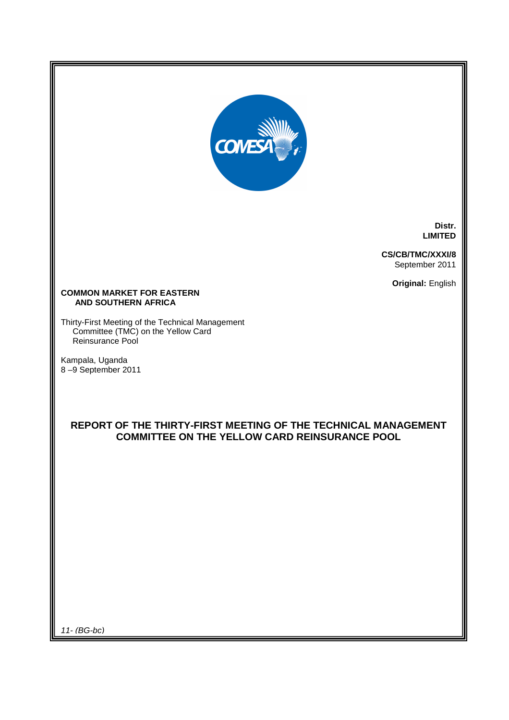

**Distr. LIMITED** 

**CS/CB/TMC/XXXI/8**  September 2011

**Original:** English

#### **COMMON MARKET FOR EASTERN AND SOUTHERN AFRICA**

Thirty-First Meeting of the Technical Management Committee (TMC) on the Yellow Card Reinsurance Pool

Kampala, Uganda 8 –9 September 2011

## **REPORT OF THE THIRTY-FIRST MEETING OF THE TECHNICAL MANAGEMENT COMMITTEE ON THE YELLOW CARD REINSURANCE POOL**

11- (BG-bc)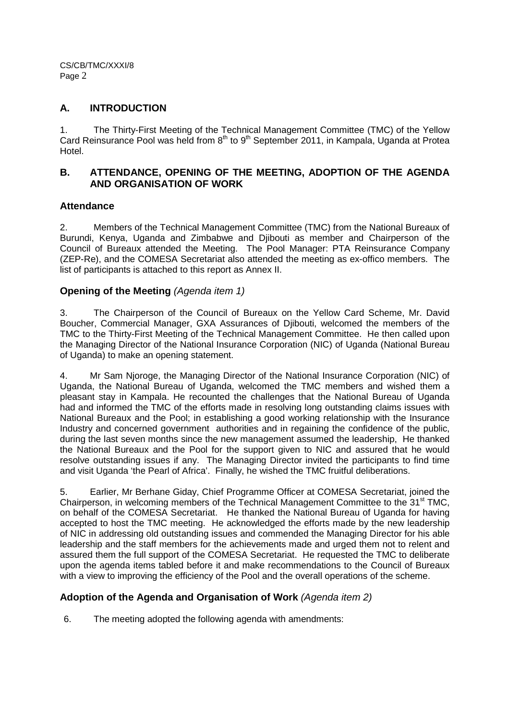### **A. INTRODUCTION**

1. The Thirty-First Meeting of the Technical Management Committee (TMC) of the Yellow Card Reinsurance Pool was held from 8<sup>th</sup> to 9<sup>th</sup> September 2011, in Kampala, Uganda at Protea Hotel.

## **B. ATTENDANCE, OPENING OF THE MEETING, ADOPTION OF THE AGENDA AND ORGANISATION OF WORK**

## **Attendance**

2. Members of the Technical Management Committee (TMC) from the National Bureaux of Burundi, Kenya, Uganda and Zimbabwe and Djibouti as member and Chairperson of the Council of Bureaux attended the Meeting. The Pool Manager: PTA Reinsurance Company (ZEP-Re), and the COMESA Secretariat also attended the meeting as ex-offico members. The list of participants is attached to this report as Annex II.

## **Opening of the Meeting** (Agenda item 1)

3. The Chairperson of the Council of Bureaux on the Yellow Card Scheme, Mr. David Boucher, Commercial Manager, GXA Assurances of Djibouti, welcomed the members of the TMC to the Thirty-First Meeting of the Technical Management Committee. He then called upon the Managing Director of the National Insurance Corporation (NIC) of Uganda (National Bureau of Uganda) to make an opening statement.

4. Mr Sam Njoroge, the Managing Director of the National Insurance Corporation (NIC) of Uganda, the National Bureau of Uganda, welcomed the TMC members and wished them a pleasant stay in Kampala. He recounted the challenges that the National Bureau of Uganda had and informed the TMC of the efforts made in resolving long outstanding claims issues with National Bureaux and the Pool; in establishing a good working relationship with the Insurance Industry and concerned government authorities and in regaining the confidence of the public, during the last seven months since the new management assumed the leadership, He thanked the National Bureaux and the Pool for the support given to NIC and assured that he would resolve outstanding issues if any. The Managing Director invited the participants to find time and visit Uganda 'the Pearl of Africa'. Finally, he wished the TMC fruitful deliberations.

5. Earlier, Mr Berhane Giday, Chief Programme Officer at COMESA Secretariat, joined the Chairperson, in welcoming members of the Technical Management Committee to the 31<sup>st</sup> TMC. on behalf of the COMESA Secretariat. He thanked the National Bureau of Uganda for having accepted to host the TMC meeting. He acknowledged the efforts made by the new leadership of NIC in addressing old outstanding issues and commended the Managing Director for his able leadership and the staff members for the achievements made and urged them not to relent and assured them the full support of the COMESA Secretariat. He requested the TMC to deliberate upon the agenda items tabled before it and make recommendations to the Council of Bureaux with a view to improving the efficiency of the Pool and the overall operations of the scheme.

## **Adoption of the Agenda and Organisation of Work** (Agenda item 2)

6. The meeting adopted the following agenda with amendments: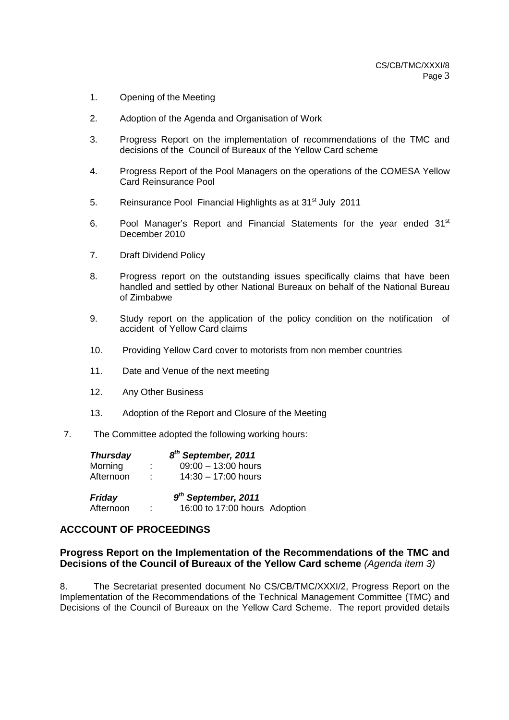- 1. Opening of the Meeting
- 2. Adoption of the Agenda and Organisation of Work
- 3. Progress Report on the implementation of recommendations of the TMC and decisions of the Council of Bureaux of the Yellow Card scheme
- 4. Progress Report of the Pool Managers on the operations of the COMESA Yellow Card Reinsurance Pool
- 5. Reinsurance Pool Financial Highlights as at 31<sup>st</sup> July 2011
- 6. Pool Manager's Report and Financial Statements for the year ended 31<sup>st</sup> December 2010
- 7. Draft Dividend Policy
- 8. Progress report on the outstanding issues specifically claims that have been handled and settled by other National Bureaux on behalf of the National Bureau of Zimbabwe
- 9. Study report on the application of the policy condition on the notification of accident of Yellow Card claims
- 10. Providing Yellow Card cover to motorists from non member countries
- 11. Date and Venue of the next meeting
- 12. Any Other Business
- 13. Adoption of the Report and Closure of the Meeting
- 7. The Committee adopted the following working hours:

| <b>Thursday</b> |   | 8 <sup>th</sup> September, 2011 |  |
|-----------------|---|---------------------------------|--|
| Morning         | ÷ | $09:00 - 13:00$ hours           |  |
| Afternoon       |   | $14:30 - 17:00$ hours           |  |
| <b>Friday</b>   |   | $9th$ September, 2011           |  |
| Afternoon       | ٠ | 16:00 to 17:00 hours Adoption   |  |

### **ACCCOUNT OF PROCEEDINGS**

### **Progress Report on the Implementation of the Recommendations of the TMC and Decisions of the Council of Bureaux of the Yellow Card scheme** (Agenda item 3)

8. The Secretariat presented document No CS/CB/TMC/XXXI/2, Progress Report on the Implementation of the Recommendations of the Technical Management Committee (TMC) and Decisions of the Council of Bureaux on the Yellow Card Scheme. The report provided details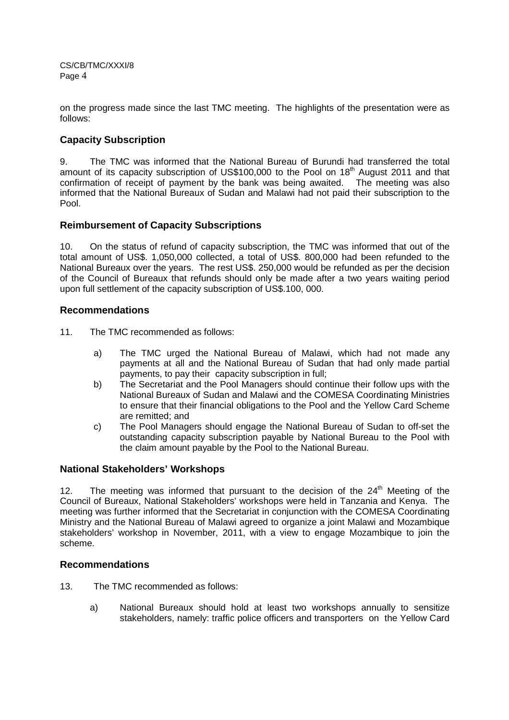on the progress made since the last TMC meeting. The highlights of the presentation were as follows:

## **Capacity Subscription**

9. The TMC was informed that the National Bureau of Burundi had transferred the total amount of its capacity subscription of US\$100,000 to the Pool on  $18<sup>th</sup>$  August 2011 and that confirmation of receipt of payment by the bank was being awaited. The meeting was also informed that the National Bureaux of Sudan and Malawi had not paid their subscription to the Pool.

### **Reimbursement of Capacity Subscriptions**

10. On the status of refund of capacity subscription, the TMC was informed that out of the total amount of US\$. 1,050,000 collected, a total of US\$. 800,000 had been refunded to the National Bureaux over the years. The rest US\$. 250,000 would be refunded as per the decision of the Council of Bureaux that refunds should only be made after a two years waiting period upon full settlement of the capacity subscription of US\$.100, 000.

### **Recommendations**

- 11. The TMC recommended as follows:
	- a) The TMC urged the National Bureau of Malawi, which had not made any payments at all and the National Bureau of Sudan that had only made partial payments, to pay their capacity subscription in full;
	- b) The Secretariat and the Pool Managers should continue their follow ups with the National Bureaux of Sudan and Malawi and the COMESA Coordinating Ministries to ensure that their financial obligations to the Pool and the Yellow Card Scheme are remitted; and
	- c) The Pool Managers should engage the National Bureau of Sudan to off-set the outstanding capacity subscription payable by National Bureau to the Pool with the claim amount payable by the Pool to the National Bureau.

### **National Stakeholders' Workshops**

12. The meeting was informed that pursuant to the decision of the  $24<sup>th</sup>$  Meeting of the Council of Bureaux, National Stakeholders' workshops were held in Tanzania and Kenya. The meeting was further informed that the Secretariat in conjunction with the COMESA Coordinating Ministry and the National Bureau of Malawi agreed to organize a joint Malawi and Mozambique stakeholders' workshop in November, 2011, with a view to engage Mozambique to join the scheme.

### **Recommendations**

- 13. The TMC recommended as follows:
	- a) National Bureaux should hold at least two workshops annually to sensitize stakeholders, namely: traffic police officers and transporters on the Yellow Card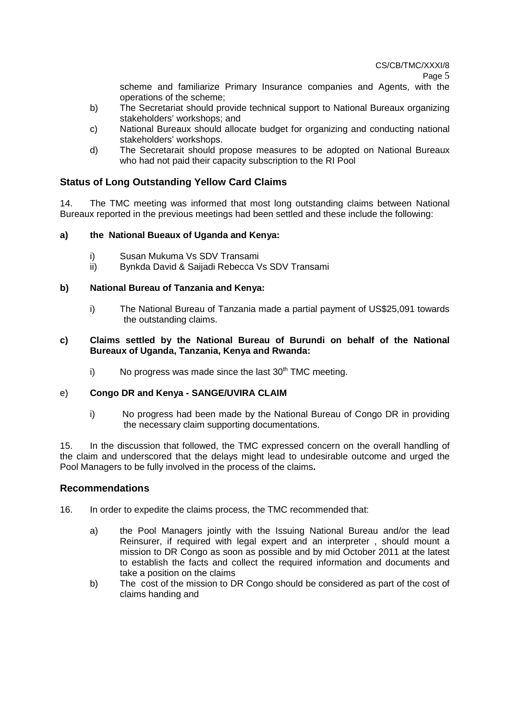CS/CB/TMC/XXXI/8

Page 5

scheme and familiarize Primary Insurance companies and Agents, with the operations of the scheme;

- b) The Secretariat should provide technical support to National Bureaux organizing stakeholders' workshops; and
- c) National Bureaux should allocate budget for organizing and conducting national stakeholders' workshops.
- d) The Secretarait should propose measures to be adopted on National Bureaux who had not paid their capacity subscription to the RI Pool

# **Status of Long Outstanding Yellow Card Claims**

14. The TMC meeting was informed that most long outstanding claims between National Bureaux reported in the previous meetings had been settled and these include the following:

# **a) the National Bueaux of Uganda and Kenya:**

- i) Susan Mukuma Vs SDV Transami
- ii) Bynkda David & Saijadi Rebecca Vs SDV Transami

# **b) National Bureau of Tanzania and Kenya:**

i) The National Bureau of Tanzania made a partial payment of US\$25,091 towards the outstanding claims.

## **c) Claims settled by the National Bureau of Burundi on behalf of the National Bureaux of Uganda, Tanzania, Kenya and Rwanda:**

i) No progress was made since the last  $30<sup>th</sup>$  TMC meeting.

# e) **Congo DR and Kenya - SANGE/UVIRA CLAIM**

i) No progress had been made by the National Bureau of Congo DR in providing the necessary claim supporting documentations.

15. In the discussion that followed, the TMC expressed concern on the overall handling of the claim and underscored that the delays might lead to undesirable outcome and urged the Pool Managers to be fully involved in the process of the claims**.** 

# **Recommendations**

- 16. In order to expedite the claims process, the TMC recommended that:
	- a) the Pool Managers jointly with the Issuing National Bureau and/or the lead Reinsurer, if required with legal expert and an interpreter , should mount a mission to DR Congo as soon as possible and by mid October 2011 at the latest to establish the facts and collect the required information and documents and take a position on the claims
	- b) The cost of the mission to DR Congo should be considered as part of the cost of claims handing and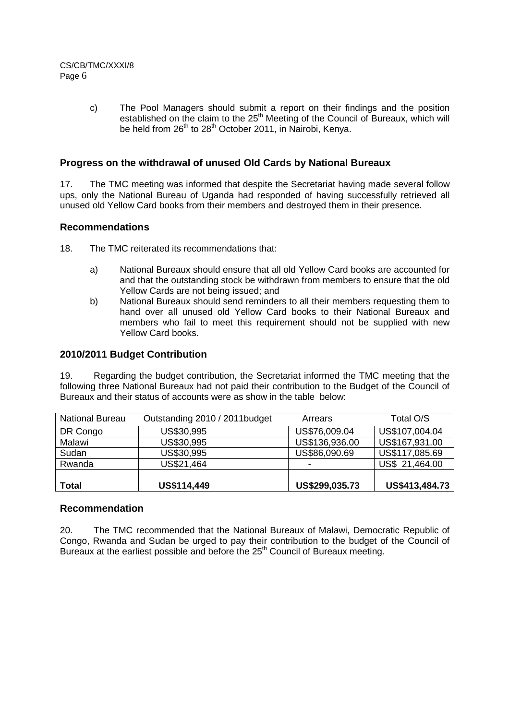c) The Pool Managers should submit a report on their findings and the position established on the claim to the 25<sup>th</sup> Meeting of the Council of Bureaux, which will be held from 26<sup>th</sup> to 28<sup>th</sup> October 2011, in Nairobi, Kenya.

### **Progress on the withdrawal of unused Old Cards by National Bureaux**

17. The TMC meeting was informed that despite the Secretariat having made several follow ups, only the National Bureau of Uganda had responded of having successfully retrieved all unused old Yellow Card books from their members and destroyed them in their presence.

### **Recommendations**

18. The TMC reiterated its recommendations that:

- a) National Bureaux should ensure that all old Yellow Card books are accounted for and that the outstanding stock be withdrawn from members to ensure that the old Yellow Cards are not being issued; and
- b) National Bureaux should send reminders to all their members requesting them to hand over all unused old Yellow Card books to their National Bureaux and members who fail to meet this requirement should not be supplied with new Yellow Card books.

## **2010/2011 Budget Contribution**

19. Regarding the budget contribution, the Secretariat informed the TMC meeting that the following three National Bureaux had not paid their contribution to the Budget of the Council of Bureaux and their status of accounts were as show in the table below:

| <b>National Bureau</b> | Outstanding 2010 / 2011budget | Arrears        | Total O/S      |
|------------------------|-------------------------------|----------------|----------------|
| DR Congo               | US\$30,995                    | US\$76,009.04  | US\$107,004.04 |
| Malawi                 | US\$30,995                    | US\$136,936.00 | US\$167,931.00 |
| Sudan                  | US\$30,995                    | US\$86,090.69  | US\$117,085.69 |
| Rwanda                 | US\$21,464                    |                | US\$ 21,464.00 |
|                        |                               |                |                |
| <b>Total</b>           | US\$114,449                   | US\$299,035.73 | US\$413,484.73 |

### **Recommendation**

20. The TMC recommended that the National Bureaux of Malawi, Democratic Republic of Congo, Rwanda and Sudan be urged to pay their contribution to the budget of the Council of Bureaux at the earliest possible and before the 25<sup>th</sup> Council of Bureaux meeting.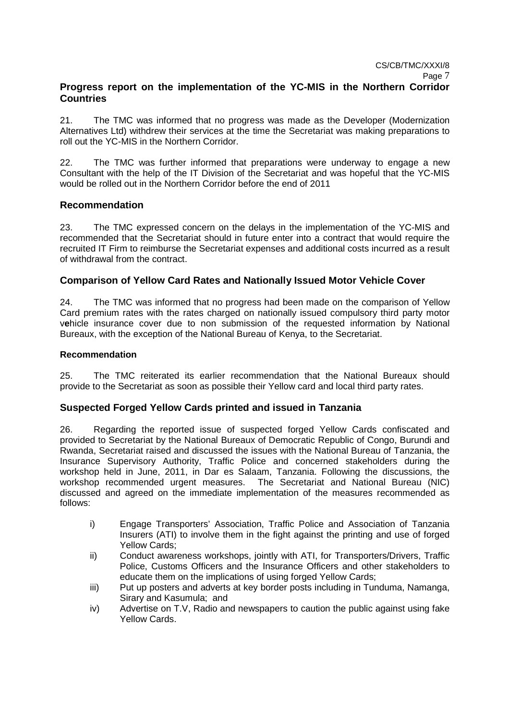## **Progress report on the implementation of the YC-MIS in the Northern Corridor Countries**

21. The TMC was informed that no progress was made as the Developer (Modernization Alternatives Ltd) withdrew their services at the time the Secretariat was making preparations to roll out the YC-MIS in the Northern Corridor.

22. The TMC was further informed that preparations were underway to engage a new Consultant with the help of the IT Division of the Secretariat and was hopeful that the YC-MIS would be rolled out in the Northern Corridor before the end of 2011

## **Recommendation**

23. The TMC expressed concern on the delays in the implementation of the YC-MIS and recommended that the Secretariat should in future enter into a contract that would require the recruited IT Firm to reimburse the Secretariat expenses and additional costs incurred as a result of withdrawal from the contract.

## **Comparison of Yellow Card Rates and Nationally Issued Motor Vehicle Cover**

24. The TMC was informed that no progress had been made on the comparison of Yellow Card premium rates with the rates charged on nationally issued compulsory third party motor v**e**hicle insurance cover due to non submission of the requested information by National Bureaux, with the exception of the National Bureau of Kenya, to the Secretariat.

## **Recommendation**

25. The TMC reiterated its earlier recommendation that the National Bureaux should provide to the Secretariat as soon as possible their Yellow card and local third party rates.

### **Suspected Forged Yellow Cards printed and issued in Tanzania**

26. Regarding the reported issue of suspected forged Yellow Cards confiscated and provided to Secretariat by the National Bureaux of Democratic Republic of Congo, Burundi and Rwanda, Secretariat raised and discussed the issues with the National Bureau of Tanzania, the Insurance Supervisory Authority, Traffic Police and concerned stakeholders during the workshop held in June, 2011, in Dar es Salaam, Tanzania. Following the discussions, the workshop recommended urgent measures. The Secretariat and National Bureau (NIC) discussed and agreed on the immediate implementation of the measures recommended as follows:

- i) Engage Transporters' Association, Traffic Police and Association of Tanzania Insurers (ATI) to involve them in the fight against the printing and use of forged Yellow Cards;
- ii) Conduct awareness workshops, jointly with ATI, for Transporters/Drivers, Traffic Police, Customs Officers and the Insurance Officers and other stakeholders to educate them on the implications of using forged Yellow Cards;
- iii) Put up posters and adverts at key border posts including in Tunduma, Namanga, Sirary and Kasumula; and
- iv) Advertise on T.V, Radio and newspapers to caution the public against using fake Yellow Cards.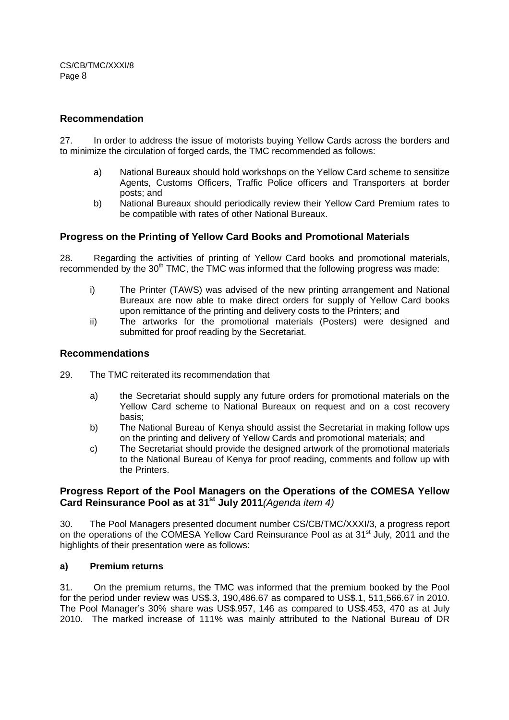### **Recommendation**

27. In order to address the issue of motorists buying Yellow Cards across the borders and to minimize the circulation of forged cards, the TMC recommended as follows:

- a) National Bureaux should hold workshops on the Yellow Card scheme to sensitize Agents, Customs Officers, Traffic Police officers and Transporters at border posts; and
- b) National Bureaux should periodically review their Yellow Card Premium rates to be compatible with rates of other National Bureaux.

## **Progress on the Printing of Yellow Card Books and Promotional Materials**

28. Regarding the activities of printing of Yellow Card books and promotional materials, recommended by the 30<sup>th</sup> TMC, the TMC was informed that the following progress was made:

- i) The Printer (TAWS) was advised of the new printing arrangement and National Bureaux are now able to make direct orders for supply of Yellow Card books upon remittance of the printing and delivery costs to the Printers; and
- ii) The artworks for the promotional materials (Posters) were designed and submitted for proof reading by the Secretariat.

### **Recommendations**

- 29. The TMC reiterated its recommendation that
	- a) the Secretariat should supply any future orders for promotional materials on the Yellow Card scheme to National Bureaux on request and on a cost recovery basis;
	- b) The National Bureau of Kenya should assist the Secretariat in making follow ups on the printing and delivery of Yellow Cards and promotional materials; and
	- c) The Secretariat should provide the designed artwork of the promotional materials to the National Bureau of Kenya for proof reading, comments and follow up with the Printers.

## **Progress Report of the Pool Managers on the Operations of the COMESA Yellow Card Reinsurance Pool as at 31st July 2011**(Agenda item 4)

30. The Pool Managers presented document number CS/CB/TMC/XXXI/3, a progress report on the operations of the COMESA Yellow Card Reinsurance Pool as at 31<sup>st</sup> July, 2011 and the highlights of their presentation were as follows:

#### **a) Premium returns**

31. On the premium returns, the TMC was informed that the premium booked by the Pool for the period under review was US\$.3, 190,486.67 as compared to US\$.1, 511,566.67 in 2010. The Pool Manager's 30% share was US\$.957, 146 as compared to US\$.453, 470 as at July 2010. The marked increase of 111% was mainly attributed to the National Bureau of DR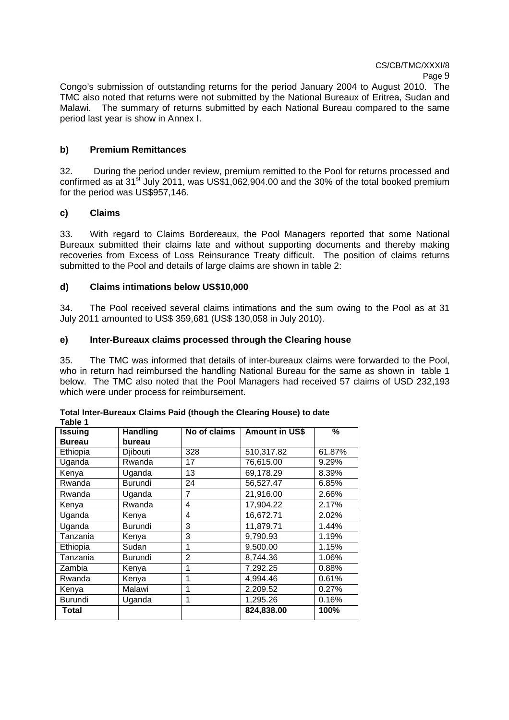Congo's submission of outstanding returns for the period January 2004 to August 2010. The TMC also noted that returns were not submitted by the National Bureaux of Eritrea, Sudan and Malawi. The summary of returns submitted by each National Bureau compared to the same period last year is show in Annex I.

### **b) Premium Remittances**

32. During the period under review, premium remitted to the Pool for returns processed and confirmed as at 31<sup>st</sup> July 2011, was US\$1,062,904.00 and the 30% of the total booked premium for the period was US\$957,146.

### **c) Claims**

33. With regard to Claims Bordereaux, the Pool Managers reported that some National Bureaux submitted their claims late and without supporting documents and thereby making recoveries from Excess of Loss Reinsurance Treaty difficult. The position of claims returns submitted to the Pool and details of large claims are shown in table 2:

### **d) Claims intimations below US\$10,000**

34. The Pool received several claims intimations and the sum owing to the Pool as at 31 July 2011 amounted to US\$ 359,681 (US\$ 130,058 in July 2010).

### **e) Inter-Bureaux claims processed through the Clearing house**

35. The TMC was informed that details of inter-bureaux claims were forwarded to the Pool, who in return had reimbursed the handling National Bureau for the same as shown in table 1 below. The TMC also noted that the Pool Managers had received 57 claims of USD 232,193 which were under process for reimbursement.

| ravie i        |                 |                |                       |        |
|----------------|-----------------|----------------|-----------------------|--------|
| <b>Issuing</b> | <b>Handling</b> | No of claims   | <b>Amount in US\$</b> | $\%$   |
| <b>Bureau</b>  | bureau          |                |                       |        |
| Ethiopia       | Djibouti        | 328            | 510,317.82            | 61.87% |
| Uganda         | Rwanda          | 17             | 76,615.00             | 9.29%  |
| Kenya          | Uganda          | 13             | 69,178.29             | 8.39%  |
| Rwanda         | <b>Burundi</b>  | 24             | 56,527.47             | 6.85%  |
| Rwanda         | Uganda          | 7              | 21,916.00             | 2.66%  |
| Kenya          | Rwanda          | 4              | 17,904.22             | 2.17%  |
| Uganda         | Kenya           | 4              | 16,672.71             | 2.02%  |
| Uganda         | Burundi         | 3              | 11,879.71             | 1.44%  |
| Tanzania       | Kenya           | 3              | 9,790.93              | 1.19%  |
| Ethiopia       | Sudan           | 1              | 9,500.00              | 1.15%  |
| Tanzania       | Burundi         | $\overline{2}$ | 8,744.36              | 1.06%  |
| Zambia         | Kenya           | 1              | 7,292.25              | 0.88%  |
| Rwanda         | Kenya           | 1              | 4,994.46              | 0.61%  |
| Kenya          | Malawi          | 1              | 2,209.52              | 0.27%  |
| Burundi        | Uganda          | 1              | 1,295.26              | 0.16%  |
| Total          |                 |                | 824,838.00            | 100%   |

| Total Inter-Bureaux Claims Paid (though the Clearing House) to date |  |  |  |
|---------------------------------------------------------------------|--|--|--|
| $T - L = 4$                                                         |  |  |  |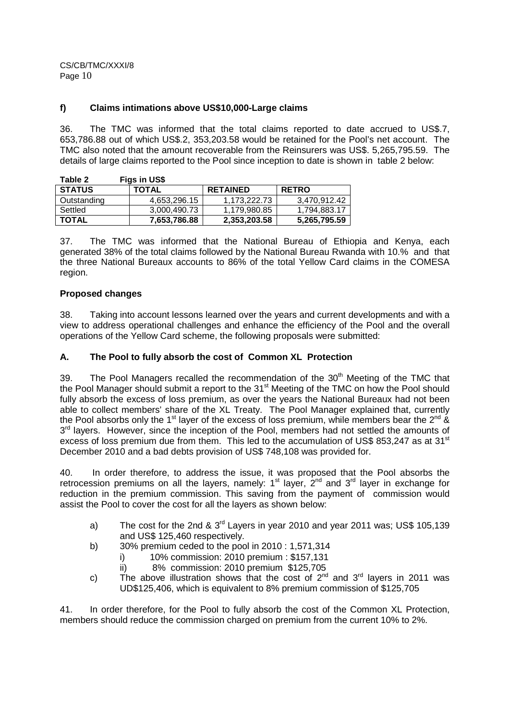### **f) Claims intimations above US\$10,000-Large claims**

36. The TMC was informed that the total claims reported to date accrued to US\$.7, 653,786.88 out of which US\$.2, 353,203.58 would be retained for the Pool's net account. The TMC also noted that the amount recoverable from the Reinsurers was US\$. 5,265,795.59. The details of large claims reported to the Pool since inception to date is shown in table 2 below:

| Table 2       | Figs in US\$ |                 |              |
|---------------|--------------|-----------------|--------------|
| <b>STATUS</b> | <b>TOTAL</b> | <b>RETAINED</b> | <b>RETRO</b> |
| Outstanding   | 4,653,296.15 | 1.173.222.73    | 3,470,912.42 |
| Settled       | 3,000,490.73 | 1.179.980.85    | 1.794.883.17 |
| <b>TOTAL</b>  | 7,653,786.88 | 2,353,203.58    | 5,265,795.59 |

37. The TMC was informed that the National Bureau of Ethiopia and Kenya, each generated 38% of the total claims followed by the National Bureau Rwanda with 10.% and that the three National Bureaux accounts to 86% of the total Yellow Card claims in the COMESA region.

### **Proposed changes**

38. Taking into account lessons learned over the years and current developments and with a view to address operational challenges and enhance the efficiency of the Pool and the overall operations of the Yellow Card scheme, the following proposals were submitted:

### **A. The Pool to fully absorb the cost of Common XL Protection**

39. The Pool Managers recalled the recommendation of the  $30<sup>th</sup>$  Meeting of the TMC that the Pool Manager should submit a report to the 31<sup>st</sup> Meeting of the TMC on how the Pool should fully absorb the excess of loss premium, as over the years the National Bureaux had not been able to collect members' share of the XL Treaty. The Pool Manager explained that, currently the Pool absorbs only the 1<sup>st</sup> layer of the excess of loss premium, while members bear the 2<sup>nd</sup> & 3<sup>rd</sup> layers. However, since the inception of the Pool, members had not settled the amounts of excess of loss premium due from them. This led to the accumulation of US\$ 853,247 as at 31<sup>st</sup> December 2010 and a bad debts provision of US\$ 748,108 was provided for.

40. In order therefore, to address the issue, it was proposed that the Pool absorbs the retrocession premiums on all the layers, namely:  $1<sup>st</sup>$  layer,  $2<sup>nd</sup>$  and  $3<sup>rd</sup>$  layer in exchange for reduction in the premium commission. This saving from the payment of commission would assist the Pool to cover the cost for all the layers as shown below:

- a) The cost for the 2nd &  $3<sup>rd</sup>$  Lavers in year 2010 and year 2011 was: US\$ 105,139 and US\$ 125,460 respectively.
- b) 30% premium ceded to the pool in 2010 : 1,571,314
	-
	- i) 10% commission: 2010 premium : \$157,131<br>ii) 8% commission: 2010 premium \$125,705 8% commission: 2010 premium \$125,705
- c) The above illustration shows that the cost of  $2^{nd}$  and  $3^{rd}$  layers in 2011 was UD\$125,406, which is equivalent to 8% premium commission of \$125,705

41. In order therefore, for the Pool to fully absorb the cost of the Common XL Protection, members should reduce the commission charged on premium from the current 10% to 2%.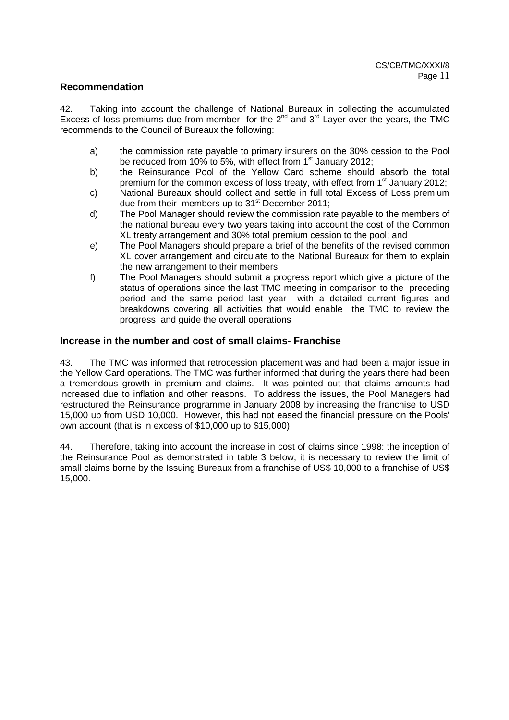### **Recommendation**

42. Taking into account the challenge of National Bureaux in collecting the accumulated Excess of loss premiums due from member for the  $2^{nd}$  and  $3^{rd}$  Layer over the years, the TMC recommends to the Council of Bureaux the following:

- a) the commission rate payable to primary insurers on the 30% cession to the Pool be reduced from 10% to 5%, with effect from  $1<sup>st</sup>$  January 2012;
- b) the Reinsurance Pool of the Yellow Card scheme should absorb the total premium for the common excess of loss treaty, with effect from  $1<sup>st</sup>$  January 2012;
- c) National Bureaux should collect and settle in full total Excess of Loss premium due from their members up to  $31<sup>st</sup>$  December 2011:
- d) The Pool Manager should review the commission rate payable to the members of the national bureau every two years taking into account the cost of the Common XL treaty arrangement and 30% total premium cession to the pool; and
- e) The Pool Managers should prepare a brief of the benefits of the revised common XL cover arrangement and circulate to the National Bureaux for them to explain the new arrangement to their members.
- f) The Pool Managers should submit a progress report which give a picture of the status of operations since the last TMC meeting in comparison to the preceding period and the same period last year with a detailed current figures and breakdowns covering all activities that would enable the TMC to review the progress and guide the overall operations

### **Increase in the number and cost of small claims- Franchise**

43. The TMC was informed that retrocession placement was and had been a major issue in the Yellow Card operations. The TMC was further informed that during the years there had been a tremendous growth in premium and claims. It was pointed out that claims amounts had increased due to inflation and other reasons. To address the issues, the Pool Managers had restructured the Reinsurance programme in January 2008 by increasing the franchise to USD 15,000 up from USD 10,000. However, this had not eased the financial pressure on the Pools' own account (that is in excess of \$10,000 up to \$15,000)

44. Therefore, taking into account the increase in cost of claims since 1998: the inception of the Reinsurance Pool as demonstrated in table 3 below, it is necessary to review the limit of small claims borne by the Issuing Bureaux from a franchise of US\$ 10,000 to a franchise of US\$ 15,000.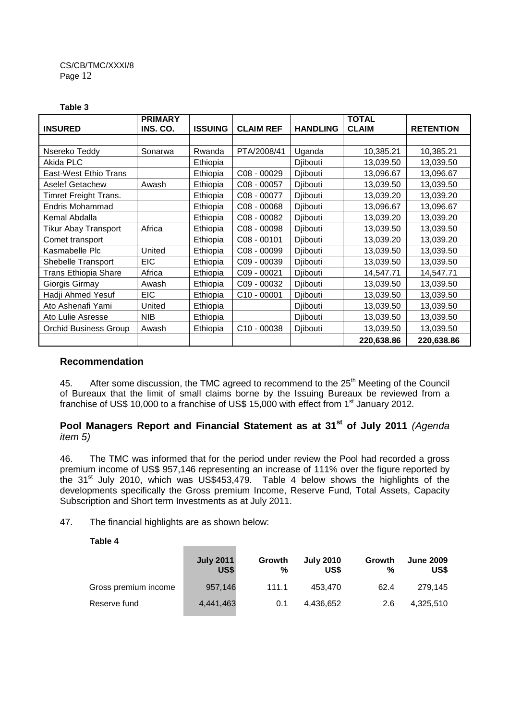#### **Table 3**

|                              | <b>PRIMARY</b> |                |                  |                 | <b>TOTAL</b> |                  |
|------------------------------|----------------|----------------|------------------|-----------------|--------------|------------------|
| <b>INSURED</b>               | INS. CO.       | <b>ISSUING</b> | <b>CLAIM REF</b> | <b>HANDLING</b> | <b>CLAIM</b> | <b>RETENTION</b> |
|                              |                |                |                  |                 |              |                  |
| Nsereko Teddy                | Sonarwa        | Rwanda         | PTA/2008/41      | Uganda          | 10,385.21    | 10,385.21        |
| Akida PLC                    |                | Ethiopia       |                  | Djibouti        | 13,039.50    | 13,039.50        |
| East-West Ethio Trans        |                | Ethiopia       | C08 - 00029      | Djibouti        | 13,096.67    | 13,096.67        |
| Aselef Getachew              | Awash          | Ethiopia       | C08 - 00057      | Djibouti        | 13,039.50    | 13,039.50        |
| Timret Freight Trans.        |                | Ethiopia       | C08 - 00077      | Djibouti        | 13,039.20    | 13,039.20        |
| Endris Mohammad              |                | Ethiopia       | $CO8 - 00068$    | Djibouti        | 13,096.67    | 13,096.67        |
| Kemal Abdalla                |                | Ethiopia       | C08 - 00082      | Djibouti        | 13,039.20    | 13,039.20        |
| Tikur Abay Transport         | Africa         | Ethiopia       | C08 - 00098      | Djibouti        | 13,039.50    | 13,039.50        |
| Comet transport              |                | Ethiopia       | C08 - 00101      | Djibouti        | 13,039.20    | 13,039.20        |
| Kasmabelle Plc               | United         | Ethiopia       | C08 - 00099      | Djibouti        | 13,039.50    | 13,039.50        |
| Shebelle Transport           | <b>EIC</b>     | Ethiopia       | C09 - 00039      | Djibouti        | 13,039.50    | 13,039.50        |
| Trans Ethiopia Share         | Africa         | Ethiopia       | C09 - 00021      | Djibouti        | 14,547.71    | 14,547.71        |
| Giorgis Girmay               | Awash          | Ethiopia       | C09 - 00032      | Djibouti        | 13,039.50    | 13,039.50        |
| Hadji Ahmed Yesuf            | <b>EIC</b>     | Ethiopia       | C10 - 00001      | Djibouti        | 13,039.50    | 13,039.50        |
| Ato Ashenafi Yami            | United         | Ethiopia       |                  | Djibouti        | 13,039.50    | 13,039.50        |
| Ato Lulie Asresse            | <b>NIB</b>     | Ethiopia       |                  | Djibouti        | 13,039.50    | 13,039.50        |
| <b>Orchid Business Group</b> | Awash          | Ethiopia       | C10 - 00038      | Djibouti        | 13,039.50    | 13,039.50        |
|                              |                |                |                  |                 | 220,638.86   | 220,638.86       |

### **Recommendation**

45. After some discussion, the TMC agreed to recommend to the 25<sup>th</sup> Meeting of the Council of Bureaux that the limit of small claims borne by the Issuing Bureaux be reviewed from a franchise of US\$ 10,000 to a franchise of US\$ 15,000 with effect from 1<sup>st</sup> January 2012.

# **Pool Managers Report and Financial Statement as at 31st of July 2011** (Agenda item 5)

46. The TMC was informed that for the period under review the Pool had recorded a gross premium income of US\$ 957,146 representing an increase of 111% over the figure reported by the 31<sup>st</sup> July 2010, which was US\$453,479. Table 4 below shows the highlights of the developments specifically the Gross premium Income, Reserve Fund, Total Assets, Capacity Subscription and Short term Investments as at July 2011.

47. The financial highlights are as shown below:

 **Table 4** 

|                      | <b>July 2011</b><br>US\$ | Growth<br>% | <b>July 2010</b><br>US\$ | Growth<br>% | <b>June 2009</b><br>US\$ |
|----------------------|--------------------------|-------------|--------------------------|-------------|--------------------------|
| Gross premium income | 957,146                  | 111.1       | 453.470                  | 62.4        | 279.145                  |
| Reserve fund         | 4,441,463                | 0.1         | 4.436.652                | 2.6         | 4,325,510                |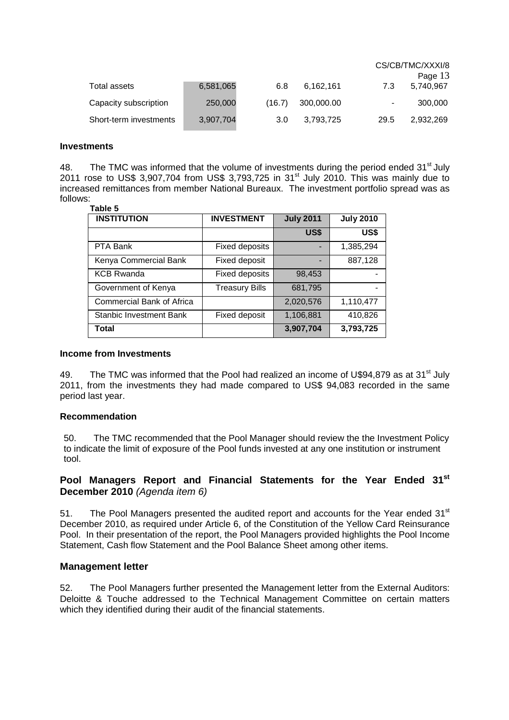|                        |           |        |            |      | CS/CB/TMC/XXXI/8 |
|------------------------|-----------|--------|------------|------|------------------|
|                        |           |        |            |      | Page 13          |
| Total assets           | 6,581,065 | 6.8    | 6,162,161  | 7.3  | 5,740,967        |
| Capacity subscription  | 250,000   | (16.7) | 300,000.00 |      | 300,000          |
| Short-term investments | 3,907,704 | 3.0    | 3,793,725  | 29.5 | 2.932.269        |

#### **Investments**

48. The TMC was informed that the volume of investments during the period ended 31<sup>st</sup> July 2011 rose to US\$ 3,907,704 from US\$ 3,793,725 in 31st July 2010. This was mainly due to increased remittances from member National Bureaux. The investment portfolio spread was as follows:

#### **Table 5**

| <b>INSTITUTION</b>               | <b>INVESTMENT</b>     | <b>July 2011</b> | <b>July 2010</b> |
|----------------------------------|-----------------------|------------------|------------------|
|                                  |                       | US\$             | US\$             |
| PTA Bank                         | <b>Fixed deposits</b> |                  | 1,385,294        |
| Kenya Commercial Bank            | Fixed deposit         |                  | 887,128          |
| <b>KCB Rwanda</b>                | <b>Fixed deposits</b> | 98,453           |                  |
| Government of Kenya              | <b>Treasury Bills</b> | 681,795          |                  |
| <b>Commercial Bank of Africa</b> |                       | 2,020,576        | 1,110,477        |
| <b>Stanbic Investment Bank</b>   | Fixed deposit         | 1,106,881        | 410,826          |
| <b>Total</b>                     |                       | 3,907,704        | 3,793,725        |

#### **Income from Investments**

49. The TMC was informed that the Pool had realized an income of U\$94,879 as at 31<sup>st</sup> July 2011, from the investments they had made compared to US\$ 94,083 recorded in the same period last year.

#### **Recommendation**

50. The TMC recommended that the Pool Manager should review the the Investment Policy to indicate the limit of exposure of the Pool funds invested at any one institution or instrument tool.

## **Pool Managers Report and Financial Statements for the Year Ended 31st December 2010** (Agenda item 6)

51. The Pool Managers presented the audited report and accounts for the Year ended  $31<sup>st</sup>$ December 2010, as required under Article 6, of the Constitution of the Yellow Card Reinsurance Pool. In their presentation of the report, the Pool Managers provided highlights the Pool Income Statement, Cash flow Statement and the Pool Balance Sheet among other items.

#### **Management letter**

52. The Pool Managers further presented the Management letter from the External Auditors: Deloitte & Touche addressed to the Technical Management Committee on certain matters which they identified during their audit of the financial statements.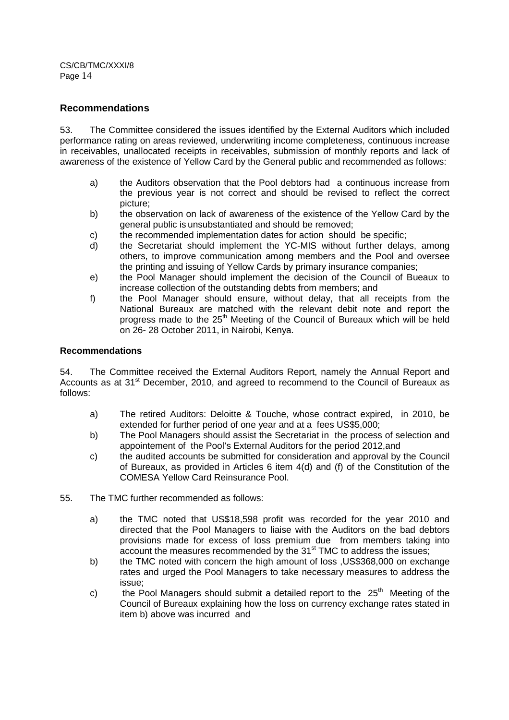### **Recommendations**

53. The Committee considered the issues identified by the External Auditors which included performance rating on areas reviewed, underwriting income completeness, continuous increase in receivables, unallocated receipts in receivables, submission of monthly reports and lack of awareness of the existence of Yellow Card by the General public and recommended as follows:

- a) the Auditors observation that the Pool debtors had a continuous increase from the previous year is not correct and should be revised to reflect the correct picture;
- b) the observation on lack of awareness of the existence of the Yellow Card by the general public is unsubstantiated and should be removed;
- c) the recommended implementation dates for action should be specific;
- d) the Secretariat should implement the YC-MIS without further delays, among others, to improve communication among members and the Pool and oversee the printing and issuing of Yellow Cards by primary insurance companies;
- e) the Pool Manager should implement the decision of the Council of Bueaux to increase collection of the outstanding debts from members; and
- f) the Pool Manager should ensure, without delay, that all receipts from the National Bureaux are matched with the relevant debit note and report the progress made to the 25<sup>th</sup> Meeting of the Council of Bureaux which will be held on 26- 28 October 2011, in Nairobi, Kenya.

#### **Recommendations**

54. The Committee received the External Auditors Report, namely the Annual Report and Accounts as at 31<sup>st</sup> December, 2010, and agreed to recommend to the Council of Bureaux as follows:

- a) The retired Auditors: Deloitte & Touche, whose contract expired, in 2010, be extended for further period of one year and at a fees US\$5,000;
- b) The Pool Managers should assist the Secretariat in the process of selection and appointement of the Pool's External Auditors for the period 2012,and
- c) the audited accounts be submitted for consideration and approval by the Council of Bureaux, as provided in Articles 6 item 4(d) and (f) of the Constitution of the COMESA Yellow Card Reinsurance Pool.
- 55. The TMC further recommended as follows:
	- a) the TMC noted that US\$18,598 profit was recorded for the year 2010 and directed that the Pool Managers to liaise with the Auditors on the bad debtors provisions made for excess of loss premium due from members taking into account the measures recommended by the  $31<sup>st</sup>$  TMC to address the issues;
	- b) the TMC noted with concern the high amount of loss ,US\$368,000 on exchange rates and urged the Pool Managers to take necessary measures to address the issue;
	- c) the Pool Managers should submit a detailed report to the  $25<sup>th</sup>$  Meeting of the Council of Bureaux explaining how the loss on currency exchange rates stated in item b) above was incurred and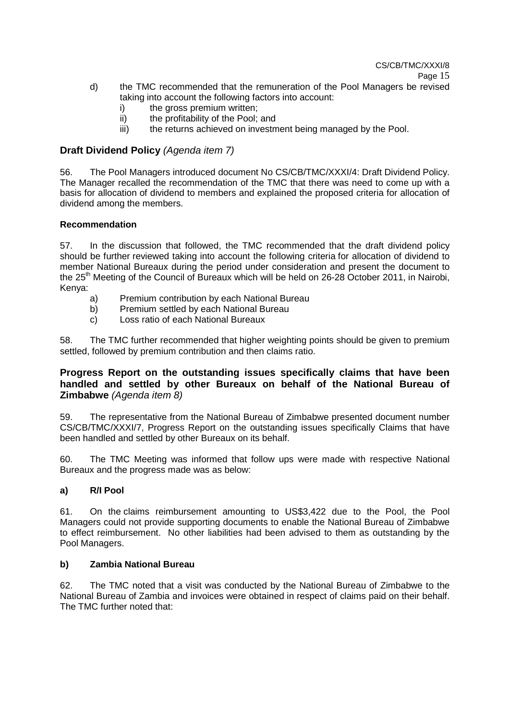- d) the TMC recommended that the remuneration of the Pool Managers be revised taking into account the following factors into account:
	- i) the gross premium written;
	- ii) the profitability of the Pool; and
	- iii) the returns achieved on investment being managed by the Pool.

### **Draft Dividend Policy** (Agenda item 7)

56. The Pool Managers introduced document No CS/CB/TMC/XXXI/4: Draft Dividend Policy. The Manager recalled the recommendation of the TMC that there was need to come up with a basis for allocation of dividend to members and explained the proposed criteria for allocation of dividend among the members.

### **Recommendation**

57. In the discussion that followed, the TMC recommended that the draft dividend policy should be further reviewed taking into account the following criteria for allocation of dividend to member National Bureaux during the period under consideration and present the document to the 25<sup>th</sup> Meeting of the Council of Bureaux which will be held on 26-28 October 2011, in Nairobi, Kenya:

- a) Premium contribution by each National Bureau
- b) Premium settled by each National Bureau
- c) Loss ratio of each National Bureaux

58. The TMC further recommended that higher weighting points should be given to premium settled, followed by premium contribution and then claims ratio.

### **Progress Report on the outstanding issues specifically claims that have been handled and settled by other Bureaux on behalf of the National Bureau of Zimbabwe** (Agenda item 8)

59. The representative from the National Bureau of Zimbabwe presented document number CS/CB/TMC/XXXI/7, Progress Report on the outstanding issues specifically Claims that have been handled and settled by other Bureaux on its behalf.

60. The TMC Meeting was informed that follow ups were made with respective National Bureaux and the progress made was as below:

### **a) R/I Pool**

61. On the claims reimbursement amounting to US\$3,422 due to the Pool, the Pool Managers could not provide supporting documents to enable the National Bureau of Zimbabwe to effect reimbursement. No other liabilities had been advised to them as outstanding by the Pool Managers.

### **b) Zambia National Bureau**

62. The TMC noted that a visit was conducted by the National Bureau of Zimbabwe to the National Bureau of Zambia and invoices were obtained in respect of claims paid on their behalf. The TMC further noted that: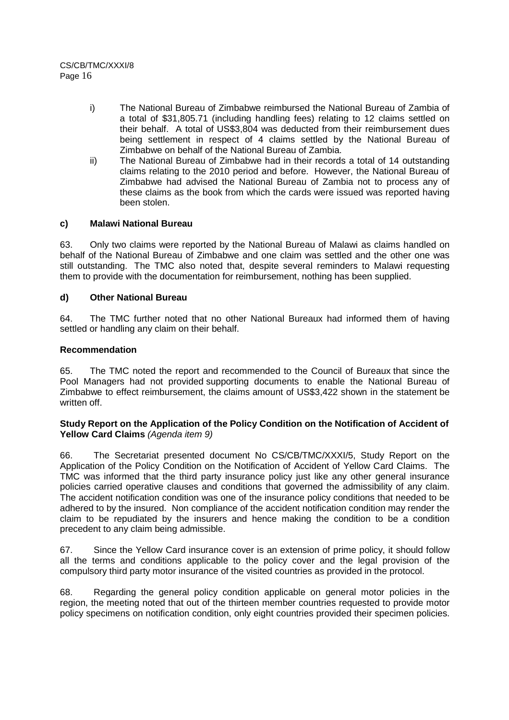- i) The National Bureau of Zimbabwe reimbursed the National Bureau of Zambia of a total of \$31,805.71 (including handling fees) relating to 12 claims settled on their behalf. A total of US\$3,804 was deducted from their reimbursement dues being settlement in respect of 4 claims settled by the National Bureau of Zimbabwe on behalf of the National Bureau of Zambia.
- ii) The National Bureau of Zimbabwe had in their records a total of 14 outstanding claims relating to the 2010 period and before. However, the National Bureau of Zimbabwe had advised the National Bureau of Zambia not to process any of these claims as the book from which the cards were issued was reported having been stolen.

### **c) Malawi National Bureau**

63. Only two claims were reported by the National Bureau of Malawi as claims handled on behalf of the National Bureau of Zimbabwe and one claim was settled and the other one was still outstanding. The TMC also noted that, despite several reminders to Malawi requesting them to provide with the documentation for reimbursement, nothing has been supplied.

### **d) Other National Bureau**

64. The TMC further noted that no other National Bureaux had informed them of having settled or handling any claim on their behalf.

### **Recommendation**

65. The TMC noted the report and recommended to the Council of Bureaux that since the Pool Managers had not provided supporting documents to enable the National Bureau of Zimbabwe to effect reimbursement, the claims amount of US\$3,422 shown in the statement be written off.

#### **Study Report on the Application of the Policy Condition on the Notification of Accident of**  Yellow Card Claims (Agenda item 9)

66. The Secretariat presented document No CS/CB/TMC/XXXI/5, Study Report on the Application of the Policy Condition on the Notification of Accident of Yellow Card Claims. The TMC was informed that the third party insurance policy just like any other general insurance policies carried operative clauses and conditions that governed the admissibility of any claim. The accident notification condition was one of the insurance policy conditions that needed to be adhered to by the insured. Non compliance of the accident notification condition may render the claim to be repudiated by the insurers and hence making the condition to be a condition precedent to any claim being admissible.

67. Since the Yellow Card insurance cover is an extension of prime policy, it should follow all the terms and conditions applicable to the policy cover and the legal provision of the compulsory third party motor insurance of the visited countries as provided in the protocol.

68. Regarding the general policy condition applicable on general motor policies in the region, the meeting noted that out of the thirteen member countries requested to provide motor policy specimens on notification condition, only eight countries provided their specimen policies.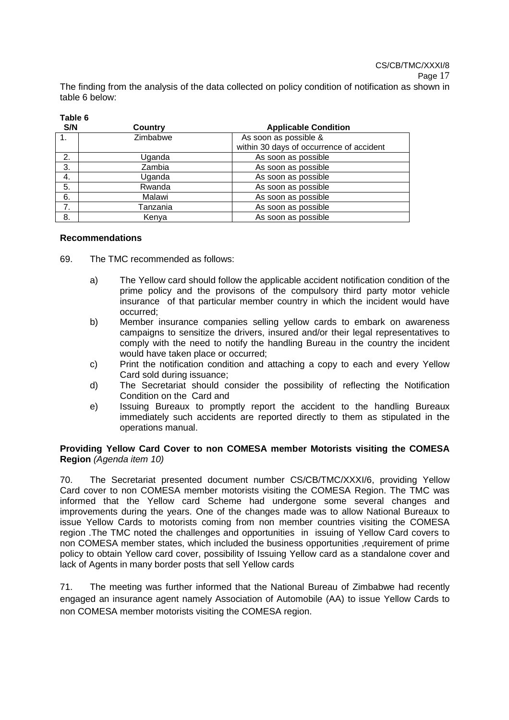The finding from the analysis of the data collected on policy condition of notification as shown in table 6 below:

| - 10 | ı<br>10 |  |
|------|---------|--|
|      | ×,      |  |

| S/N         | Country  | <b>Applicable Condition</b>              |  |  |  |
|-------------|----------|------------------------------------------|--|--|--|
| $1_{\cdot}$ | Zimbabwe | As soon as possible &                    |  |  |  |
|             |          | within 30 days of occurrence of accident |  |  |  |
| 2.          | Uganda   | As soon as possible                      |  |  |  |
| 3.          | Zambia   | As soon as possible                      |  |  |  |
| 4.          | Uganda   | As soon as possible                      |  |  |  |
| 5.          | Rwanda   | As soon as possible                      |  |  |  |
| 6.          | Malawi   | As soon as possible                      |  |  |  |
| 7.          | Tanzania | As soon as possible                      |  |  |  |
| 8.          | Kenya    | As soon as possible                      |  |  |  |

#### **Recommendations**

69. The TMC recommended as follows:

- a) The Yellow card should follow the applicable accident notification condition of the prime policy and the provisons of the compulsory third party motor vehicle insurance of that particular member country in which the incident would have occurred;
- b) Member insurance companies selling yellow cards to embark on awareness campaigns to sensitize the drivers, insured and/or their legal representatives to comply with the need to notify the handling Bureau in the country the incident would have taken place or occurred;
- c) Print the notification condition and attaching a copy to each and every Yellow Card sold during issuance;
- d) The Secretariat should consider the possibility of reflecting the Notification Condition on the Card and
- e) Issuing Bureaux to promptly report the accident to the handling Bureaux immediately such accidents are reported directly to them as stipulated in the operations manual.

#### **Providing Yellow Card Cover to non COMESA member Motorists visiting the COMESA Region** (Agenda item 10)

70. The Secretariat presented document number CS/CB/TMC/XXXI/6, providing Yellow Card cover to non COMESA member motorists visiting the COMESA Region. The TMC was informed that the Yellow card Scheme had undergone some several changes and improvements during the years. One of the changes made was to allow National Bureaux to issue Yellow Cards to motorists coming from non member countries visiting the COMESA region .The TMC noted the challenges and opportunities in issuing of Yellow Card covers to non COMESA member states, which included the business opportunities ,requirement of prime policy to obtain Yellow card cover, possibility of Issuing Yellow card as a standalone cover and lack of Agents in many border posts that sell Yellow cards

71. The meeting was further informed that the National Bureau of Zimbabwe had recently engaged an insurance agent namely Association of Automobile (AA) to issue Yellow Cards to non COMESA member motorists visiting the COMESA region.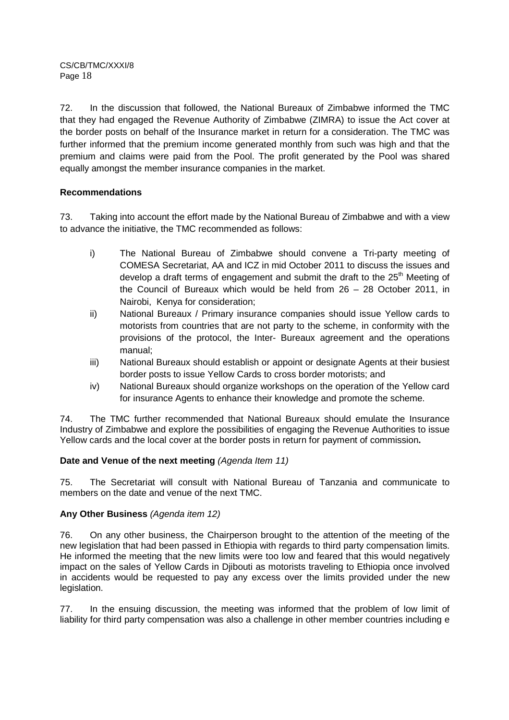72. In the discussion that followed, the National Bureaux of Zimbabwe informed the TMC that they had engaged the Revenue Authority of Zimbabwe (ZIMRA) to issue the Act cover at the border posts on behalf of the Insurance market in return for a consideration. The TMC was further informed that the premium income generated monthly from such was high and that the premium and claims were paid from the Pool. The profit generated by the Pool was shared equally amongst the member insurance companies in the market.

## **Recommendations**

73. Taking into account the effort made by the National Bureau of Zimbabwe and with a view to advance the initiative, the TMC recommended as follows:

- i) The National Bureau of Zimbabwe should convene a Tri-party meeting of COMESA Secretariat, AA and ICZ in mid October 2011 to discuss the issues and develop a draft terms of engagement and submit the draft to the 25<sup>th</sup> Meeting of the Council of Bureaux which would be held from 26 – 28 October 2011, in Nairobi, Kenya for consideration;
- ii) National Bureaux / Primary insurance companies should issue Yellow cards to motorists from countries that are not party to the scheme, in conformity with the provisions of the protocol, the Inter- Bureaux agreement and the operations manual;
- iii) National Bureaux should establish or appoint or designate Agents at their busiest border posts to issue Yellow Cards to cross border motorists; and
- iv) National Bureaux should organize workshops on the operation of the Yellow card for insurance Agents to enhance their knowledge and promote the scheme.

74. The TMC further recommended that National Bureaux should emulate the Insurance Industry of Zimbabwe and explore the possibilities of engaging the Revenue Authorities to issue Yellow cards and the local cover at the border posts in return for payment of commission**.** 

### Date and Venue of the next meeting (Agenda Item 11)

75. The Secretariat will consult with National Bureau of Tanzania and communicate to members on the date and venue of the next TMC.

### **Any Other Business** (Agenda item 12)

76. On any other business, the Chairperson brought to the attention of the meeting of the new legislation that had been passed in Ethiopia with regards to third party compensation limits. He informed the meeting that the new limits were too low and feared that this would negatively impact on the sales of Yellow Cards in Djibouti as motorists traveling to Ethiopia once involved in accidents would be requested to pay any excess over the limits provided under the new legislation.

77. In the ensuing discussion, the meeting was informed that the problem of low limit of liability for third party compensation was also a challenge in other member countries including e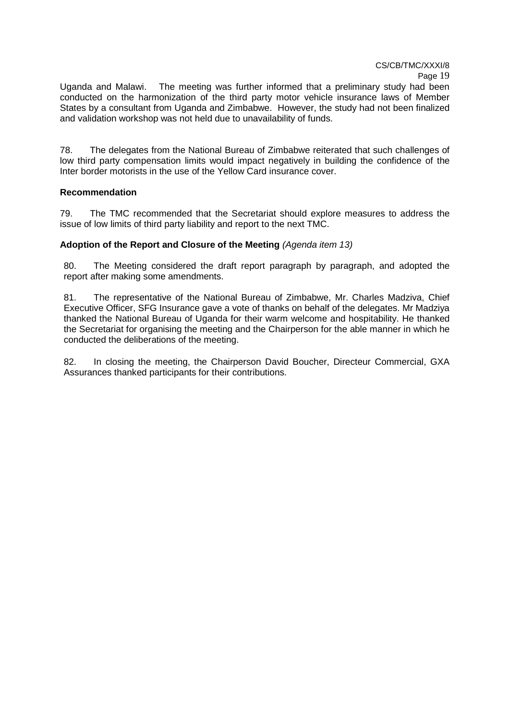Uganda and Malawi. The meeting was further informed that a preliminary study had been conducted on the harmonization of the third party motor vehicle insurance laws of Member States by a consultant from Uganda and Zimbabwe. However, the study had not been finalized and validation workshop was not held due to unavailability of funds.

78. The delegates from the National Bureau of Zimbabwe reiterated that such challenges of low third party compensation limits would impact negatively in building the confidence of the Inter border motorists in the use of the Yellow Card insurance cover.

#### **Recommendation**

79. The TMC recommended that the Secretariat should explore measures to address the issue of low limits of third party liability and report to the next TMC.

### Adoption of the Report and Closure of the Meeting (Agenda item 13)

80. The Meeting considered the draft report paragraph by paragraph, and adopted the report after making some amendments.

81. The representative of the National Bureau of Zimbabwe, Mr. Charles Madziva, Chief Executive Officer, SFG Insurance gave a vote of thanks on behalf of the delegates. Mr Madziya thanked the National Bureau of Uganda for their warm welcome and hospitability. He thanked the Secretariat for organising the meeting and the Chairperson for the able manner in which he conducted the deliberations of the meeting.

82. In closing the meeting, the Chairperson David Boucher, Directeur Commercial, GXA Assurances thanked participants for their contributions.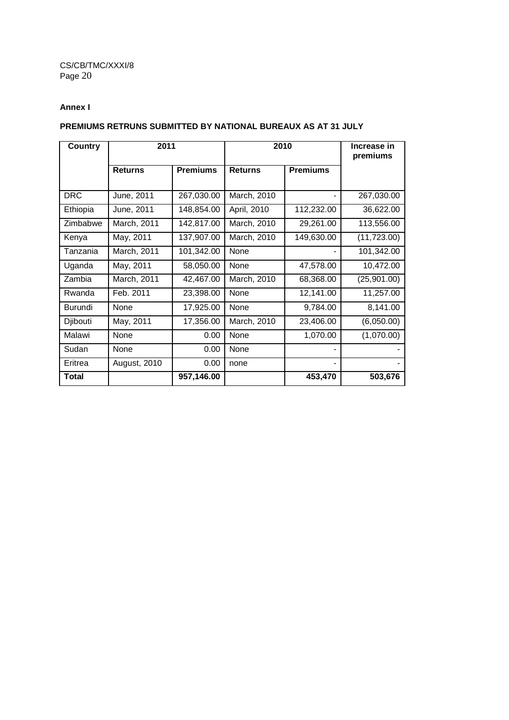### **Annex I**

### **PREMIUMS RETRUNS SUBMITTED BY NATIONAL BUREAUX AS AT 31 JULY**

| Country              |                           | 2011                     |                            | 2010                    |                         |
|----------------------|---------------------------|--------------------------|----------------------------|-------------------------|-------------------------|
|                      | <b>Returns</b>            | <b>Premiums</b>          | <b>Returns</b>             | <b>Premiums</b>         |                         |
| <b>DRC</b>           | June, 2011                | 267,030.00               | March, 2010                |                         | 267,030.00              |
| Ethiopia<br>Zimbabwe | June, 2011<br>March, 2011 | 148,854.00<br>142,817.00 | April, 2010<br>March, 2010 | 112,232.00<br>29,261.00 | 36,622.00<br>113,556.00 |
| Kenya                | May, 2011                 | 137,907.00               | March, 2010                | 149,630.00              | (11, 723.00)            |
| Tanzania             | March, 2011               | 101,342.00               | None                       |                         | 101,342.00              |
| Uganda               | May, 2011                 | 58,050.00                | None                       | 47,578.00               | 10,472.00               |
| Zambia               | March, 2011               | 42,467.00                | March, 2010                | 68,368.00               | (25,901.00)             |
| Rwanda               | Feb. 2011                 | 23,398.00                | None                       | 12,141.00               | 11,257.00               |
| Burundi              | None                      | 17,925.00                | None                       | 9,784.00                | 8,141.00                |
| Djibouti             | May, 2011                 | 17,356.00                | March, 2010                | 23,406.00               | (6,050.00)              |
| Malawi               | None                      | 0.00                     | None                       | 1,070.00                | (1,070.00)              |
| Sudan                | None                      | 0.00                     | None                       |                         |                         |
| Eritrea              | August, 2010              | 0.00                     | none                       |                         |                         |
| <b>Total</b>         |                           | 957,146.00               |                            | 453,470                 | 503,676                 |